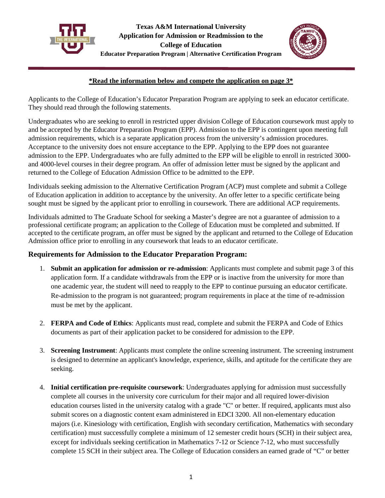



## **\*Read the information below and compete the application on page 3\***

Applicants to the College of Education's Educator Preparation Program are applying to seek an educator certificate. They should read through the following statements.

Undergraduates who are seeking to enroll in restricted upper division College of Education coursework must apply to and be accepted by the Educator Preparation Program (EPP). Admission to the EPP is contingent upon meeting full admission requirements, which is a separate application process from the university's admission procedures. Acceptance to the university does not ensure acceptance to the EPP. Applying to the EPP does not guarantee admission to the EPP. Undergraduates who are fully admitted to the EPP will be eligible to enroll in restricted 3000 and 4000-level courses in their degree program. An offer of admission letter must be signed by the applicant and returned to the College of Education Admission Office to be admitted to the EPP.

Individuals seeking admission to the Alternative Certification Program (ACP) must complete and submit a College of Education application in addition to acceptance by the university. An offer letter to a specific certificate being sought must be signed by the applicant prior to enrolling in coursework. There are additional ACP requirements.

Individuals admitted to The Graduate School for seeking a Master's degree are not a guarantee of admission to a professional certificate program; an application to the College of Education must be completed and submitted. If accepted to the certificate program, an offer must be signed by the applicant and returned to the College of Education Admission office prior to enrolling in any coursework that leads to an educator certificate.

## **Requirements for Admission to the Educator Preparation Program:**

- 1. **Submit an application for admission or re-admission**: Applicants must complete and submit page 3 of this application form. If a candidate withdrawals from the EPP or is inactive from the university for more than one academic year, the student will need to reapply to the EPP to continue pursuing an educator certificate. Re-admission to the program is not guaranteed; program requirements in place at the time of re-admission must be met by the applicant.
- 2. **FERPA and Code of Ethics**: Applicants must read, complete and submit the FERPA and Code of Ethics documents as part of their application packet to be considered for admission to the EPP.
- 3. **Screening Instrument**: Applicants must complete the online screening instrument. The screening instrument is designed to determine an applicant's knowledge, experience, skills, and aptitude for the certificate they are seeking.
- 4. **Initial certification pre-requisite** c**oursework**: Undergraduates applying for admission must successfully complete all courses in the university core curriculum for their major and all required lower-division education courses listed in the university catalog with a grade "C" or better. If required, applicants must also submit scores on a diagnostic content exam administered in EDCI 3200. All non-elementary education majors (i.e. Kinesiology with certification, English with secondary certification, Mathematics with secondary certification) must successfully complete a minimum of 12 semester credit hours (SCH) in their subject area, except for individuals seeking certification in Mathematics 7-12 or Science 7-12, who must successfully complete 15 SCH in their subject area. The College of Education considers an earned grade of "C" or better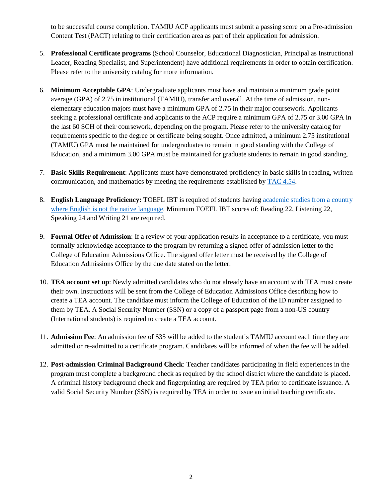to be successful course completion. TAMIU ACP applicants must submit a passing score on a Pre-admission Content Test (PACT) relating to their certification area as part of their application for admission.

- 5. **Professional Certificate programs** (School Counselor, Educational Diagnostician, Principal as Instructional Leader, Reading Specialist, and Superintendent) have additional requirements in order to obtain certification. Please refer to the university catalog for more information.
- 6. **Minimum Acceptable GPA**: Undergraduate applicants must have and maintain a minimum grade point average (GPA) of 2.75 in institutional (TAMIU), transfer and overall. At the time of admission, nonelementary education majors must have a minimum GPA of 2.75 in their major coursework. Applicants seeking a professional certificate and applicants to the ACP require a minimum GPA of 2.75 or 3.00 GPA in the last 60 SCH of their coursework, depending on the program. Please refer to the university catalog for requirements specific to the degree or certificate being sought. Once admitted, a minimum 2.75 institutional (TAMIU) GPA must be maintained for undergraduates to remain in good standing with the College of Education, and a minimum 3.00 GPA must be maintained for graduate students to remain in good standing.
- 7. **Basic Skills Requirement**: Applicants must have demonstrated proficiency in basic skills in reading, written communication, and mathematics by meeting the requirements established by [TAC 4.54.](http://txrules.elaws.us/rule/title19_chapter4_sec.4.54)
- 8. **English Language Proficiency:** TOEFL IBT is required of students having [academic studies from a country](https://tea.texas.gov/texas-educators/certification/out-of-state-certification/english-language-proficiency)  [where English is not the native language.](https://tea.texas.gov/texas-educators/certification/out-of-state-certification/english-language-proficiency) Minimum TOEFL IBT scores of: Reading 22, Listening 22, Speaking 24 and Writing 21 are required.
- 9. **Formal Offer of Admission**: If a review of your application results in acceptance to a certificate, you must formally acknowledge acceptance to the program by returning a signed offer of admission letter to the College of Education Admissions Office. The signed offer letter must be received by the College of Education Admissions Office by the due date stated on the letter.
- 10. **TEA account set up**: Newly admitted candidates who do not already have an account with TEA must create their own. Instructions will be sent from the College of Education Admissions Office describing how to create a TEA account. The candidate must inform the College of Education of the ID number assigned to them by TEA. A Social Security Number (SSN) or a copy of a passport page from a non-US country (International students) is required to create a TEA account.
- 11. **Admission Fee**: An admission fee of \$35 will be added to the student's TAMIU account each time they are admitted or re-admitted to a certificate program. Candidates will be informed of when the fee will be added.
- 12. **Post-admission Criminal Background Check**: Teacher candidates participating in field experiences in the program must complete a background check as required by the school district where the candidate is placed. A criminal history background check and fingerprinting are required by TEA prior to certificate issuance. A valid Social Security Number (SSN) is required by TEA in order to issue an initial teaching certificate.